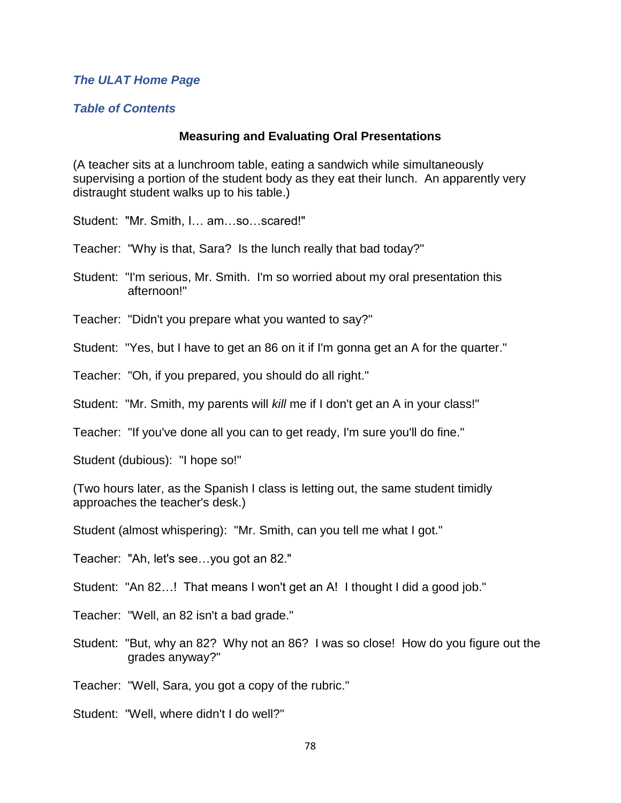#### *[The ULAT Home Page](http://www.theulat.com/)*

#### *[Table of Contents](http://www.theulat.com/INOTHERWORDS/CONTENTS.PDF)*

#### **Measuring and Evaluating Oral Presentations**

(A teacher sits at a lunchroom table, eating a sandwich while simultaneously supervising a portion of the student body as they eat their lunch. An apparently very distraught student walks up to his table.)

Student: "Mr. Smith, I… am…so…scared!"

Teacher: "Why is that, Sara? Is the lunch really that bad today?"

Student: "I'm serious, Mr. Smith. I'm so worried about my oral presentation this afternoon!"

Teacher: "Didn't you prepare what you wanted to say?"

Student: "Yes, but I have to get an 86 on it if I'm gonna get an A for the quarter."

Teacher: "Oh, if you prepared, you should do all right."

Student: "Mr. Smith, my parents will *kill* me if I don't get an A in your class!"

Teacher: "If you've done all you can to get ready, I'm sure you'll do fine."

Student (dubious): "I hope so!"

(Two hours later, as the Spanish I class is letting out, the same student timidly approaches the teacher's desk.)

Student (almost whispering): "Mr. Smith, can you tell me what I got."

Teacher: "Ah, let's see…you got an 82."

Student: "An 82…! That means I won't get an A! I thought I did a good job."

Teacher: "Well, an 82 isn't a bad grade."

Student: "But, why an 82? Why not an 86? I was so close! How do you figure out the grades anyway?"

Teacher: "Well, Sara, you got a copy of the rubric."

Student: "Well, where didn't I do well?"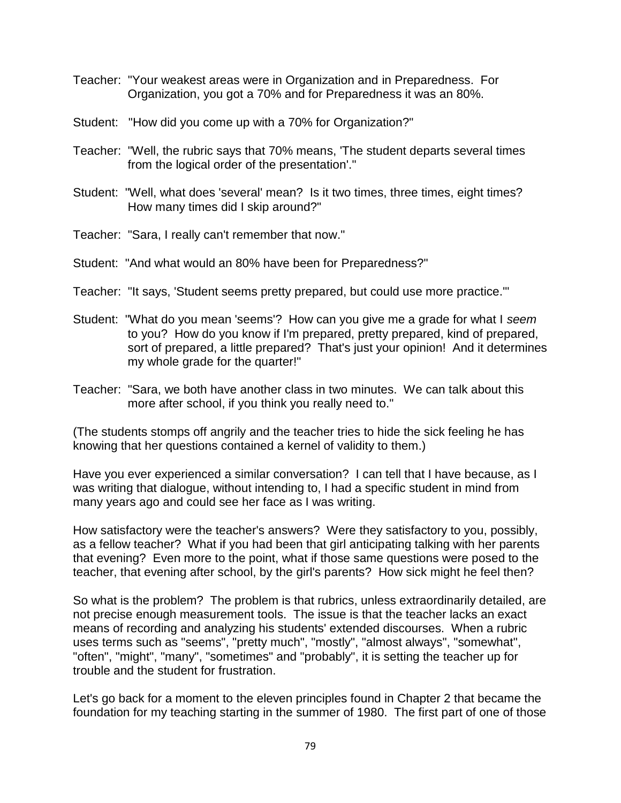- Teacher: "Your weakest areas were in Organization and in Preparedness. For Organization, you got a 70% and for Preparedness it was an 80%.
- Student: "How did you come up with a 70% for Organization?"
- Teacher: "Well, the rubric says that 70% means, 'The student departs several times from the logical order of the presentation'."
- Student: "Well, what does 'several' mean? Is it two times, three times, eight times? How many times did I skip around?"

Teacher: "Sara, I really can't remember that now."

- Student: "And what would an 80% have been for Preparedness?"
- Teacher: "It says, 'Student seems pretty prepared, but could use more practice.'"
- Student: "What do you mean 'seems'? How can you give me a grade for what I *seem* to you? How do you know if I'm prepared, pretty prepared, kind of prepared, sort of prepared, a little prepared? That's just your opinion! And it determines my whole grade for the quarter!"
- Teacher: "Sara, we both have another class in two minutes. We can talk about this more after school, if you think you really need to."

(The students stomps off angrily and the teacher tries to hide the sick feeling he has knowing that her questions contained a kernel of validity to them.)

Have you ever experienced a similar conversation? I can tell that I have because, as I was writing that dialogue, without intending to, I had a specific student in mind from many years ago and could see her face as I was writing.

How satisfactory were the teacher's answers? Were they satisfactory to you, possibly, as a fellow teacher? What if you had been that girl anticipating talking with her parents that evening? Even more to the point, what if those same questions were posed to the teacher, that evening after school, by the girl's parents? How sick might he feel then?

So what is the problem? The problem is that rubrics, unless extraordinarily detailed, are not precise enough measurement tools. The issue is that the teacher lacks an exact means of recording and analyzing his students' extended discourses. When a rubric uses terms such as "seems", "pretty much", "mostly", "almost always", "somewhat", "often", "might", "many", "sometimes" and "probably", it is setting the teacher up for trouble and the student for frustration.

Let's go back for a moment to the eleven principles found in Chapter 2 that became the foundation for my teaching starting in the summer of 1980. The first part of one of those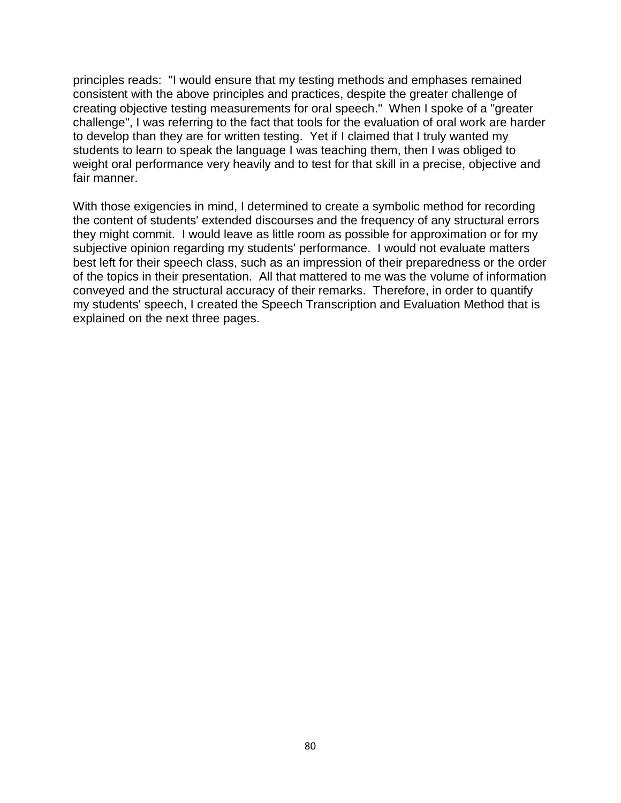principles reads: "I would ensure that my testing methods and emphases remained consistent with the above principles and practices, despite the greater challenge of creating objective testing measurements for oral speech." When I spoke of a "greater challenge", I was referring to the fact that tools for the evaluation of oral work are harder to develop than they are for written testing. Yet if I claimed that I truly wanted my students to learn to speak the language I was teaching them, then I was obliged to weight oral performance very heavily and to test for that skill in a precise, objective and fair manner.

With those exigencies in mind, I determined to create a symbolic method for recording the content of students' extended discourses and the frequency of any structural errors they might commit. I would leave as little room as possible for approximation or for my subjective opinion regarding my students' performance. I would not evaluate matters best left for their speech class, such as an impression of their preparedness or the order of the topics in their presentation. All that mattered to me was the volume of information conveyed and the structural accuracy of their remarks. Therefore, in order to quantify my students' speech, I created the Speech Transcription and Evaluation Method that is explained on the next three pages.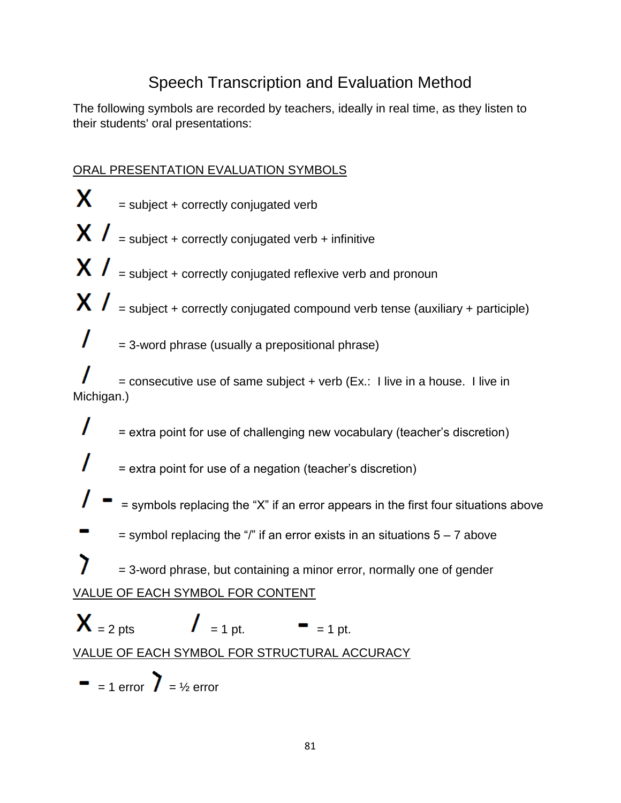# Speech Transcription and Evaluation Method

The following symbols are recorded by teachers, ideally in real time, as they listen to their students' oral presentations:

## ORAL PRESENTATION EVALUATION SYMBOLS

X. = subject + correctly conjugated verb  $\boldsymbol{X}$   $\boldsymbol{I}$  = subject + correctly conjugated verb + infinitive  $\boldsymbol{X}$   $\boldsymbol{I}$  = subject + correctly conjugated reflexive verb and pronoun  $\bm{X}$   $\bm{l}$  = subject + correctly conjugated compound verb tense (auxiliary + participle) = 3-word phrase (usually a prepositional phrase)  $=$  consecutive use of same subject  $+$  verb (Ex.: I live in a house. I live in Michigan.) ı = extra point for use of challenging new vocabulary (teacher's discretion) = extra point for use of a negation (teacher's discretion) = symbols replacing the "X" if an error appears in the first four situations above  $=$  symbol replacing the "/" if an error exists in an situations  $5 - 7$  above 7 = 3-word phrase, but containing a minor error, normally one of gender VALUE OF EACH SYMBOL FOR CONTENT  $X = 2 \text{ pts}$   $I = 1 \text{ pt.} = 1 \text{ pt.}$ VALUE OF EACH SYMBOL FOR STRUCTURAL ACCURACY  $= 1$  error  $\sum = \frac{1}{2}$  error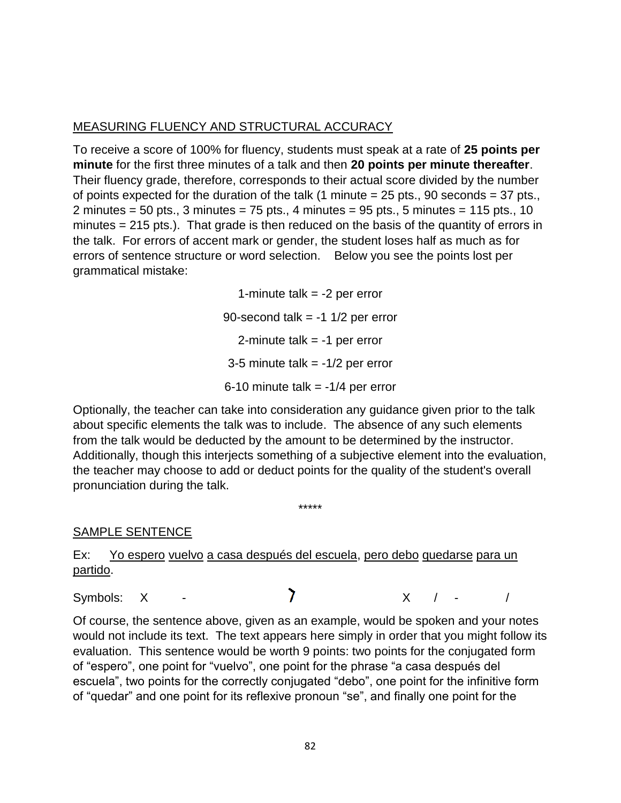### MEASURING FLUENCY AND STRUCTURAL ACCURACY

To receive a score of 100% for fluency, students must speak at a rate of **25 points per minute** for the first three minutes of a talk and then **20 points per minute thereafter**. Their fluency grade, therefore, corresponds to their actual score divided by the number of points expected for the duration of the talk  $(1 \text{ minute} = 25 \text{ pts.}, 90 \text{ seconds} = 37 \text{ pts.},$ 2 minutes =  $50$  pts., 3 minutes =  $75$  pts., 4 minutes =  $95$  pts., 5 minutes =  $115$  pts.,  $10$ minutes = 215 pts.). That grade is then reduced on the basis of the quantity of errors in the talk. For errors of accent mark or gender, the student loses half as much as for errors of sentence structure or word selection. Below you see the points lost per grammatical mistake:

> 1-minute talk  $= -2$  per error 90-second talk  $= -1$  1/2 per error 2-minute talk  $= -1$  per error 3-5 minute talk  $= -1/2$  per error 6-10 minute talk  $= -1/4$  per error

Optionally, the teacher can take into consideration any guidance given prior to the talk about specific elements the talk was to include. The absence of any such elements from the talk would be deducted by the amount to be determined by the instructor. Additionally, though this interjects something of a subjective element into the evaluation, the teacher may choose to add or deduct points for the quality of the student's overall pronunciation during the talk.

\*\*\*\*\*

SAMPLE SENTENCE

Ex: Yo espero vuelvo a casa después del escuela, pero debo quedarse para un partido.

Symbols:  $X - Y$   $X / - /$ 

Of course, the sentence above, given as an example, would be spoken and your notes would not include its text. The text appears here simply in order that you might follow its evaluation. This sentence would be worth 9 points: two points for the conjugated form of "espero", one point for "vuelvo", one point for the phrase "a casa después del escuela", two points for the correctly conjugated "debo", one point for the infinitive form of "quedar" and one point for its reflexive pronoun "se", and finally one point for the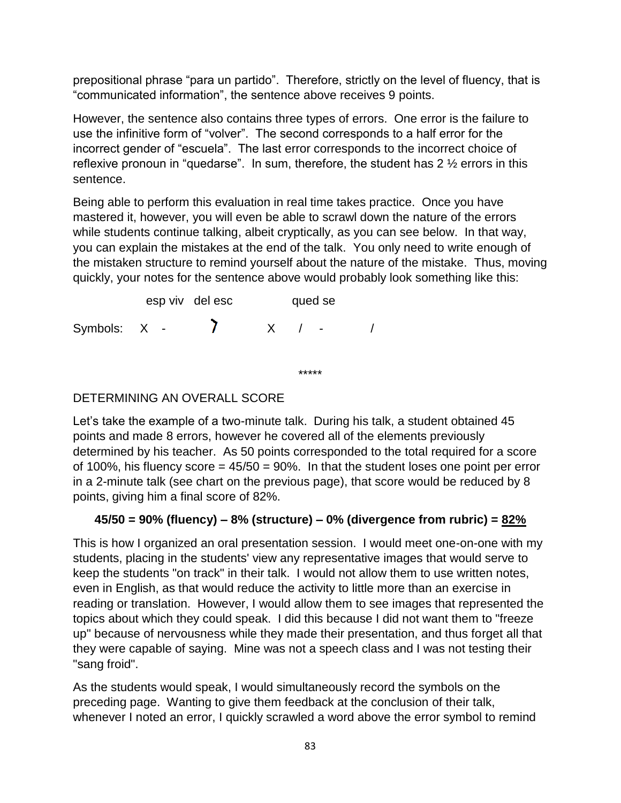prepositional phrase "para un partido". Therefore, strictly on the level of fluency, that is "communicated information", the sentence above receives 9 points.

However, the sentence also contains three types of errors. One error is the failure to use the infinitive form of "volver". The second corresponds to a half error for the incorrect gender of "escuela". The last error corresponds to the incorrect choice of reflexive pronoun in "quedarse". In sum, therefore, the student has 2 ½ errors in this sentence.

Being able to perform this evaluation in real time takes practice. Once you have mastered it, however, you will even be able to scrawl down the nature of the errors while students continue talking, albeit cryptically, as you can see below. In that way, you can explain the mistakes at the end of the talk. You only need to write enough of the mistaken structure to remind yourself about the nature of the mistake. Thus, moving quickly, your notes for the sentence above would probably look something like this:

|              | esp viv del esc | qued se |        |  |
|--------------|-----------------|---------|--------|--|
| Symbols: X - |                 |         | $\sim$ |  |

DETERMINING AN OVERALL SCORE

Let's take the example of a two-minute talk. During his talk, a student obtained 45 points and made 8 errors, however he covered all of the elements previously determined by his teacher. As 50 points corresponded to the total required for a score of 100%, his fluency score  $= 45/50 = 90%$ . In that the student loses one point per error in a 2-minute talk (see chart on the previous page), that score would be reduced by 8 points, giving him a final score of 82%.

\*\*\*\*\*

## **45/50 = 90% (fluency) – 8% (structure) – 0% (divergence from rubric) = 82%**

This is how I organized an oral presentation session. I would meet one-on-one with my students, placing in the students' view any representative images that would serve to keep the students "on track" in their talk. I would not allow them to use written notes, even in English, as that would reduce the activity to little more than an exercise in reading or translation. However, I would allow them to see images that represented the topics about which they could speak. I did this because I did not want them to "freeze up" because of nervousness while they made their presentation, and thus forget all that they were capable of saying. Mine was not a speech class and I was not testing their "sang froid".

As the students would speak, I would simultaneously record the symbols on the preceding page. Wanting to give them feedback at the conclusion of their talk, whenever I noted an error, I quickly scrawled a word above the error symbol to remind